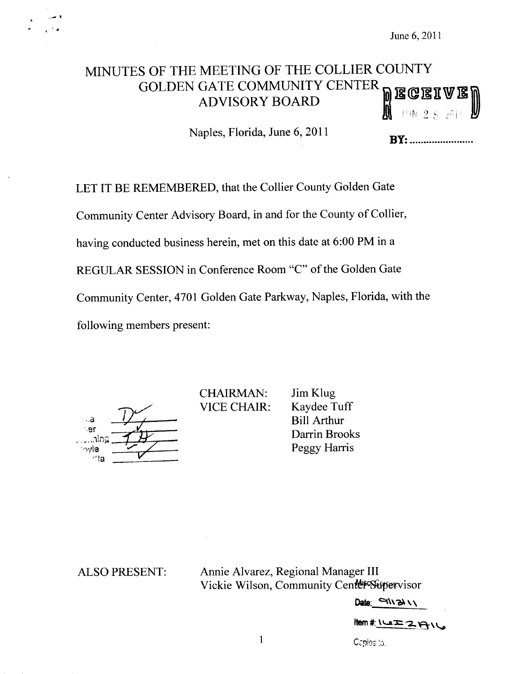$\Box$  ' $\Box$ 

# MINUTES OF THE MEETING OF THE COLLIER COUNTY GOLDEN GATE COMMUNITY CENTER~  $\overline{D}$  E  $\mathbb C$ **ADVISORY BOARD**

Naples, Florida, June 6, 2011

**BY**: ..........................

 $\sim$  J  $\,$  L

LET IT BE REMEMBERED, that the Collier County Golden Gate Community Center Advisory Board, in and for the County of Collier, having conducted business herein, met on this date at 6:00 PM in a REGULAR SESSION in Conference Room "C" of the Golden Gate Community Center, <sup>4701</sup> Golden Gate Parkway, Naples, Florida, with the following members present:

a  $\frac{1}{2}$  $\cdot$ er i~  $\frac{D}{\sqrt{2}}$ ta

CHAIRMAN: VICE CHAIR:

Jim Klug Kaydee Tuff Bill Arthur Darrin Brooks Peggy Harris

ALSO PRESENT: Annie Alvarez, Regional Manager III Vickie Wilson, Community Center Supervisor

Date:  $\Box$ 

 $I$ ltem #:  $I \subseteq I \subseteq I \cap I$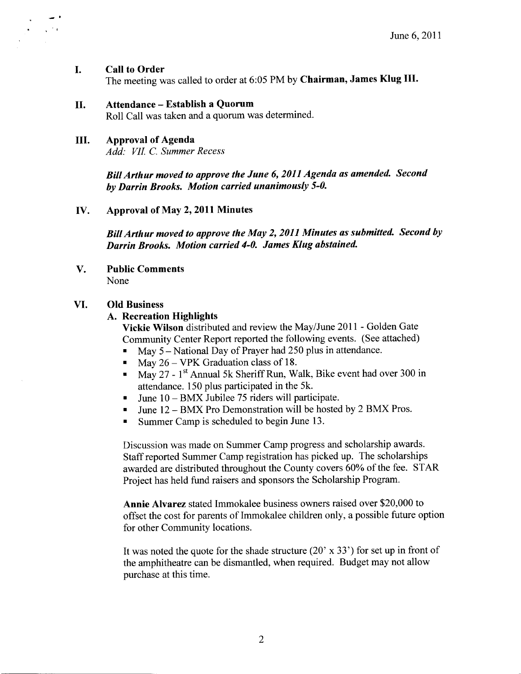# I. Call to Order

 $\sim 10^{10}$ 

The meeting was called to order at 6:05 PM by Chairman, James Klug III.

# II. Attendance - Establish <sup>a</sup> Quorum

Roll Call was taken and <sup>a</sup> quorum was determined.

# III. Approval of Agenda

Add: VII. C. Summer Recess

BillArthur moved to approve the June 6, <sup>2011</sup> Agenda as amended. Second by Darrin Brooks. Motion carried unanimously 5-0.

# IV. Approval of May 2, <sup>2011</sup> Minutes

BillArthur moved to approve the May 2, <sup>2011</sup> Minutes as submitted. Second by Darrin Brooks. Motion carried 4-0. James Klug abstained.

V. Public Comments None

# VI. Old Business

# A. Recreation Highlights

Vickie Wilson distributed and review the May/June 2011 - Golden Gate Community Center Report reported the following events. ( See attached)

- May 5 National Day of Prayer had 250 plus in attendance.
- May 26 VPK Graduation class of 18.  $\blacksquare$
- May 27 1<sup>st</sup> Annual 5k Sheriff Run, Walk, Bike event had over 300 in  $\blacksquare$ attendance. <sup>150</sup> plus participated in the 5k.
- June 10 BMX Jubilee <sup>75</sup> riders will participate.  $\blacksquare$
- June 12 BMX Pro Demonstration will be hosted by <sup>2</sup> BMX Pros.
- $\blacksquare$ Summer Camp is scheduled to begin June 13.

Discussion was made on Summer Camp progress and scholarship awards. Staff reported Summer Camp registration has picked up. The scholarships awarded are distributed throughout the County covers 60% of the fee. STAR Project has held fund raisers and sponsors the Scholarship Program.

Annie Alvarez stated Immokalee business owners raised over \$20,000 to offset the cost for parents of Immokalee children only, a possible future option for other Community locations.

It was noted the quote for the shade structure (20' x 33') for set up in front of the amphitheatre can be dismantled, when required. Budget may not allow purchase at this time.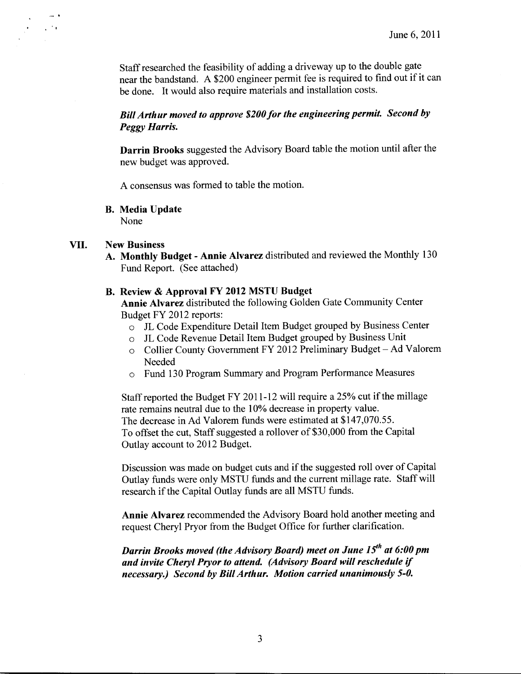Staff researched the feasibility of adding <sup>a</sup> driveway up to the double gate near the bandstand. A \$200 engineer permit fee is required to find out if it can be done. It would also require materials and installation costs.

# Bill Arthur moved to approve \$200 for the engineering permit. Second by Peggy Harris.

Darrin Brooks suggested the Advisory Board table the motion until after the new budget was approved.

A consensus was formed to table the motion.

## B. Media Update

None

# VII. New Business

 $\sqrt{2}$ 

A. Monthly Budget - Annie Alvarez distributed and reviewed the Monthly <sup>130</sup> Fund Report. ( See attached)

# B. Review & Approval FY <sup>2012</sup> MSTU Budget

Annie Alvarez distributed the following Golden Gate Community Center Budget FY 2012 reports:

- <sup>o</sup> JL Code Expenditure Detail Item Budget grouped by Business Center
- <sup>o</sup> JL Code Revenue Detail Item Budget grouped by Business Unit
- <sup>o</sup> Collier County Government FY <sup>2012</sup> Preliminary Budget Ad Valorem Needed
- o Fund 130 Program Summary and Program Performance Measures

Staff reported the Budget FY 2011-12 will require a 25% cut if the millage rate remains neutral due to the 10% decrease in property value. The decrease in Ad Valorem funds were estimated at \$147,070.55. To offset the cut, Staff suggested a rollover of \$30,000 from the Capital Outlay account to 2012 Budget.

Discussion was made on budget cuts and if the suggested roll over of Capital Outlay funds were only MSTU funds and the current millage rate. Staffwill research if the Capital Outlay funds are all MSTU funds.

Annie Alvarez recommended the Advisory Board hold another meeting and request Cheryl Pryor from the Budget Office for further clarification.

Darrin Brooks moved (the Advisory Board) meet on June  $15<sup>th</sup>$  at 6:00 pm and invite Cheryl Pryor to attend. (Advisory Board will reschedule if necessary.) Second by Bill Arthur. Motion carried unanimously 5-0.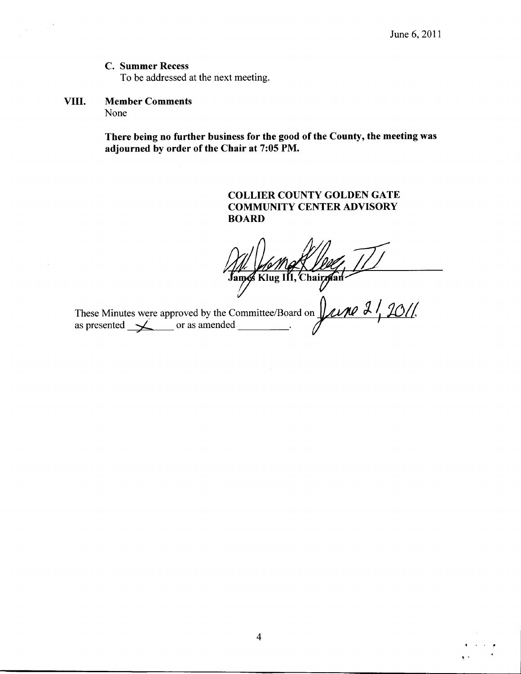# C. Summer Recess

To be addressed at the next meeting.

# VIII. Member Comments None

 $\bar{\star}$ 

There being no further business for the good of the County, the meeting was adjourned by order of the Chair at 7:05 PM.

> COLLIER COUNTY GOLDEN GATE COMMUNITY CENTER ADVISORY BOARD

James Klug III, Chairman

These Minutes were approved by the Committee/Board on  $\mu$  and  $\frac{2}{\sqrt{2}}$  (30) as presented  $\longrightarrow$  or as amended  $\overline{\phantom{a}}$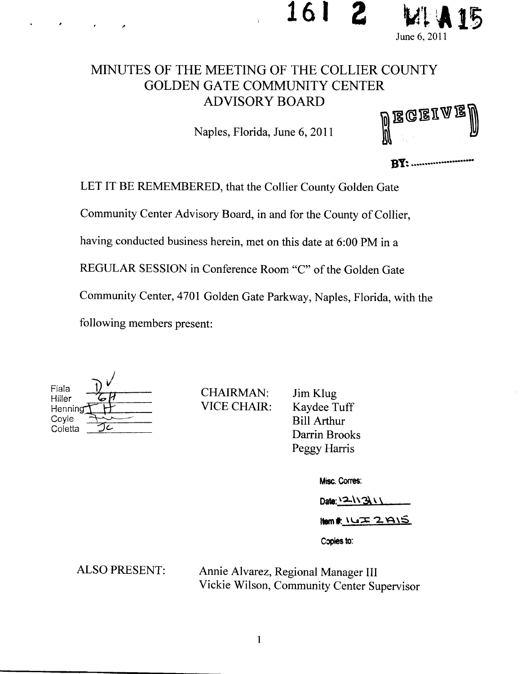



# MINUTES OF THE MEETING OF THE COLLIER COUNTY GOLDEN GATE COMMUNITY CENTER ADVISORY BOARD

Naples, Florida, June 6, 2011

| <sup>d</sup> egeiael<br>V |  |
|---------------------------|--|
|                           |  |

**BY:** ......................

LET IT BE REMEMBERED, that the Collier County Golden Gate Community Center Advisory Board, in and for the County of Collier, having conducted business herein, met on this date at 6:00 PM in a REGULAR SESSION in Conference Room "C" of the Golden Gate Community Center, 4701 Golden Gate Parkway, Naples, Florida, with the following members present:

| Fiala   |  |
|---------|--|
| Hiller  |  |
| Henning |  |
| Coyle   |  |
| Coletta |  |

CHAIRMAN: VICE CHAIR: Jim Klug<br>Kaydee Tuff **Bill Arthur** Darrin Brooks Peggy Harris

Misc. Corres:

Date: 12-11311

 $Item#$   $L2 \times 2$   $A15$ 

Copies to:

ALSO PRESENT: Annie Alvarez, Regional Manager III Vickie Wilson, Community Center Supervisor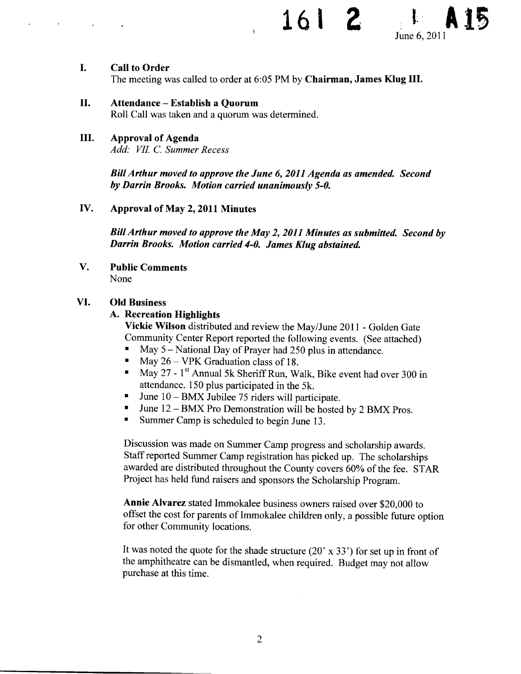# 161



### L Call to Order

The meeting was called to order at 6:05 PM by Chairman, James Klug III.

# II. Attendance—Establish <sup>a</sup> Quorum

Roll Call was taken and a quorum was determined.

# III. Approval of Agenda

Add: VII. C. Summer Recess

BillArthur moved to approve the June 6, 2011 Agenda as amended. Second by Darrin Brooks. Motion carried unanimously 5-0.

# IV. Approval of May 2, <sup>2011</sup> Minutes

BillArthur moved to approve the May 2, 2011 Minutes as submitted. Second by Darrin Brooks. Motion carried 4-0. James Klug abstained.

V. Public Comments None

# VI. Old Business

# A. Recreation Highlights

Vickie Wilson distributed and review the May/June 2011 - Golden Gate Community Center Report reported the following events. ( See attached)

- May 5— National Day of Prayer had 250 plus in attendance.
- May 26— VPK Graduation class of 18.
- May 27 1<sup>st</sup> Annual 5k Sheriff Run, Walk, Bike event had over 300 in  $\blacksquare$ attendance. 150 plus participated in the 5k.
- June 10— BMX Jubilee 75 riders will participate.
- June 12— BMX Pro Demonstration will be hosted by <sup>2</sup> BMX Pros.  $\blacksquare$
- $\blacksquare$ Summer Camp is scheduled to begin June 13.

Discussion was made on Summer Camp progress and scholarship awards. Staff reported Summer Camp registration has picked up. The scholarships awarded are distributed throughout the County covers 60% of the fee. STAR Project has held fund raisers and sponsors the Scholarship Program.

Annie Alvarez stated Immokalee business owners raised over \$20,000 to offset the cost for parents of Immokalee children only, a possible future option for other Community locations.

It was noted the quote for the shade structure  $(20' \times 33')$  for set up in front of the amphitheatre can be dismantled, when required. Budget may not allow purchase at this time.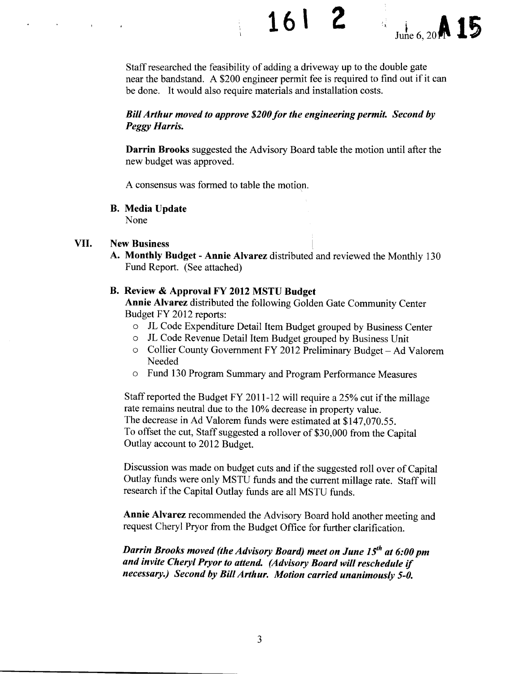$1612$ 



Staff researched the feasibility of adding a driveway up to the double gate near the bandstand. A \$200 engineer permit fee is required to find out if it can be done. It would also require materials and installation costs.

# Bill Arthur moved to approve \$200 for the engineering permit. Second by Peggy Harris.

Darrin Brooks suggested the Advisory Board table the motion until after the new budget was approved.

A consensus was formed to table the motion.

B. Media Update

None

# VII. New Business

A. Monthly Budget- Annie Alvarez distributed and reviewed the Monthly <sup>130</sup> Fund Report. (See attached)

# B. Review & Approval FY 2012 MSTU Budget

Annie Alvarez distributed the following Golden Gate Community Center Budget FY 2012 reports:

- o JL Code Expenditure Detail Item Budget grouped by Business Center
- o JL Code Revenue Detail Item Budget grouped by Business Unit
- <sup>o</sup> Collier County Government FY <sup>2012</sup> Preliminary Budget— Ad Valorem Needed
- o Fund 130 Program Summary and Program Performance Measures

Staff reported the Budget FY 2011-12 will require a 25% cut if the millage rate remains neutral due to the 10% decrease in property value. The decrease in Ad Valorem funds were estimated at \$147,070.55. To offset the cut, Staff suggested a rollover of \$30,000 from the Capital Outlay account to 2012 Budget.

Discussion was made on budget cuts and if the suggested roll over of Capital Outlay funds were only MSTU funds and the current millage rate. Staff will research if the Capital Outlay funds are all MSTU funds.

Annie Alvarez recommended the Advisory Board hold another meeting and request Cheryl Pryor from the Budget Office for further clarification.

Darrin Brooks moved (the Advisory Board) meet on June 15<sup>th</sup> at 6:00 pm and invite Cheryl Pryor to attend. (Advisory Board will reschedule if necessary.) Second by Bill Arthur. Motion carried unanimously 5-0.